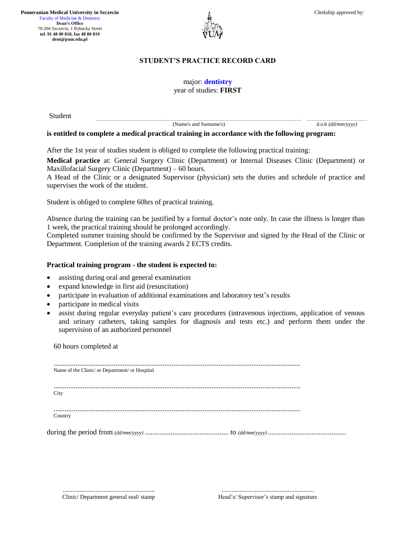**Pomeranian Medical University in Szczecin** Faculty of Medicine & Dentistry **Dean's Office** 70-204 Szczecin, 1 Rybacka Street **tel. 91 48 00 810, fax 48 00 819 dent@pum.edu.pl**



# **STUDENT'S PRACTICE RECORD CARD**

### major: **dentistry** year of studies: **FIRST**

Student

**..............................................................................................................................................................................................................................................................................................................................................................................................................................- ..........................................................................................................................** (Name/s and Surname/s) d.o.b *(dd/mm/yyyy)*

**is entitled to complete a medical practical training in accordance with the following program:**

After the 1st year of studies student is obliged to complete the following practical training:

**Medical practice** at: General Surgery Clinic (Department) or Internal Diseases Clinic (Department) or Maxillofacial Surgery Clinic (Department) – 60 hours.

A Head of the Clinic or a designated Supervisor (physician) sets the duties and schedule of practice and supervises the work of the student.

Student is obliged to complete 60hrs of practical training.

Absence during the training can be justified by a formal doctor's note only. In case the illness is longer than 1 week, the practical training should be prolonged accordingly.

Completed summer training should be confirmed by the Supervisor and signed by the Head of the Clinic or Department. Completion of the training awards 2 ECTS credits.

### **Practical training program - the student is expected to:**

- assisting during oral and general examination
- expand knowledge in first aid (resuscitation)
- participate in evaluation of additional examinations and laboratory test's results
- participate in medical visits
- assist during regular everyday patient's care procedures (intravenous injections, application of venous and urinary catheters, taking samples for diagnosis and tests etc.) and perform them under the supervision of an authorized personnel

60 hours completed at

| Name of the Clinic/ or Department/ or Hospital |
|------------------------------------------------|
|                                                |
| City                                           |
|                                                |
| Country                                        |
|                                                |
|                                                |

........................................................ Clinic/ Department general seal/ stamp

........................................................ Head's/ Supervisor's stamp and signature